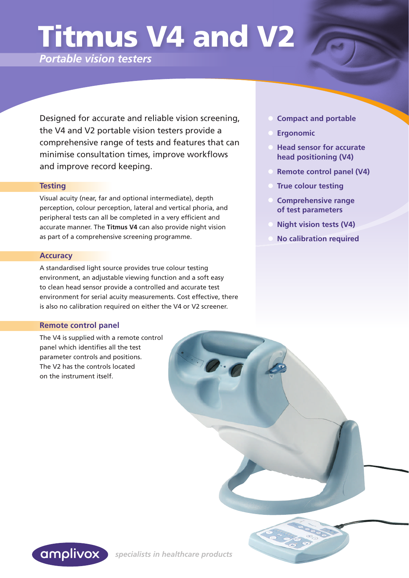# Titmus V4 and V2

*Portable vision testers*

 Designed for accurate and reliable vision screening, the V4 and V2 portable vision testers provide a comprehensive range of tests and features that can minimise consultation times, improve workflows and improve record keeping.

#### **Testing**

Visual acuity (near, far and optional intermediate), depth perception, colour perception, lateral and vertical phoria, and peripheral tests can all be completed in a very efficient and accurate manner. The **Titmus V4** can also provide night vision as part of a comprehensive screening programme.

#### **Accuracy**

A standardised light source provides true colour testing environment, an adjustable viewing function and a soft easy to clean head sensor provide a controlled and accurate test environment for serial acuity measurements. Cost effective, there is also no calibration required on either the V4 or V2 screener.

### **Remote control panel**

The V4 is supplied with a remote control panel which identifies all the test parameter controls and positions. The V2 has the controls located on the instrument itself.

- **Compact and portable**
- **Ergonomic**
- **Head sensor for accurate head positioning (V4)**
- **Remote control panel (V4)**
- **True colour testing**
- **Comprehensive range of test parameters**
- **Night vision tests (V4)**
- **No calibration required**